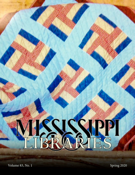# SISS **SS**  $\overline{\mathcal{O}}$

Volume 83, No. 1 Spring 2020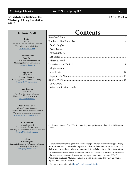## **A Quarterly Publication of the Mississippi Library Association ©2020**

## **Editorial Staff**

**Editor** Tina Harry Catalog & Asst. Automation Librarian The University of Mississippi [tharry@olemiss.edu](mailto:tharry@olemiss.edu)

**Assistant Editor** Tracy Carr Library Services Bureau Director Mississippi Library Commission [tcarr@mlc.lib.ms.us](mailto:tcarr@mlc.lib.ms.us)

**Copy Editor** Audrey Beach Resource Librarian Mississippi Delta Community College [beachgirl1796@gmail.com](mailto:beachgirl1796@gmail.com)

**News Reporter** Hali Black First Year Experience Librarian University of Southern Mississippi [Hali.Black@usm.edu](mailto:Hali.Black@usm.edu)

**Book Review Editor** Michele Frasier-Robinson Education and Human Sciences Librarian University of Southern Mississippi [susan.frasierrobinson@usm.edu](mailto:susan.frasierrobinson@usm.edu)

#### **MLA Reporter**

Janessa Ullendorf Circulation/Media Specialist Univeristy of Southern Mississippi Gulf Coas[t](mailto:Adrienne.McPhaul@usm.edu ) [Janessa.Ullendorf@usm.edu](mailto:Janessa.Ullendorf@usm.edu)

**Indexer** Kristin Rogers Electronic Resources & Discovery Librarian The University of Mississippi [kerogers@olemiss.edu](mailto:kerogers@olemiss.edu)

| <b>CONTRANTO</b>               |  |
|--------------------------------|--|
|                                |  |
|                                |  |
| Jamie Stanfield                |  |
| Jason Cantu                    |  |
| Jordan Roberts                 |  |
|                                |  |
| Teresa S. Welsh                |  |
|                                |  |
| Tonja Johnson                  |  |
|                                |  |
|                                |  |
|                                |  |
| The Barrens                    |  |
| <b>What Would Elvis Think?</b> |  |
|                                |  |

Contants

On the cover: *Baby Quilt* by Libby Thornton, Bay Springs Municipal Library, East MS Regional Library

*Mississippi Libraries* is a quarterly, open access publication of the Mississippi Library Association (MLA). The articles, reports, and features herein represent viewpoints of their respective authors and are not necessarily the official options of the Association.

In order to assure the widest possible audience for the works published in *Mississippi Libraries*, the work is added, by contractual agreement, to one or more EBSCO Publishing databases. *Mississippi Libraries* is also indexed in *Library Literature* and *Information Science Abstracts*.

For more informaton, visit<http://misslib.org/publications>

#### **ISSN 0194-388X**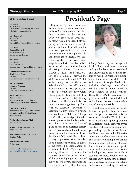#### **President** Mary Beth Applin District Dean of Learning Resources Hinds Community College

#### **Vice-President**

Mara Polk Director Central Miss. Regional Library System

#### **Secretary**

Tamara Blackwell Reference Services Bolivar Library System

#### **Treasurer**

Lori Barnes Library Director Jackson-George Regional Library System

#### **Immediate Past President**

Sarah Crisler-Ruskey Director Harrison County Public Library System

#### **ALA Councilor**

Meredith Wickham Director First Regional Library System

#### **SELA Councilor**

Ashley S. Dees Research & Instruction Librarian University of Mississippi Libraries

#### **Section Chairs**

**Association of College and Research Libraries (ACRL) Section Chair** Kristy Bariola

**Public Library Section Chair** Phillip Carter

**School Library Section Chair** Angela Mullins

**Special Libraries Section Chairs** Stephen Parks

**Trustees Section Chair** Rickey Jones

For more information, visit: <http://misslib.org/Executive-Board>

# <span id="page-2-0"></span>**2020 Executive Board President's Page**

Happy spring to everyone and welcome to new members of our association! MLA board and membership have been busy this year with a variety of projects. The 2020 *MLA Advocacy Campaign* kicked off this spring and has been active with librarians and staff from all over the state participating in forays to the state capitol and visits, phone calls and messages to legislators. This year's legislative advocacy campaign is an effort to ask lawmakers to 1) provide level funding for the Mississippi Library Commission (MLC), 2) fully fund MAGNO-LIA at \$1,350,000, 3) provide the MLC with an additional \$395,000 to their budget to offset the loss of federal funds from the IMLS, and 4) provide a 10% increase (\$330,000) to the Personnel Incentive Grant which provides funds to help hire and retain qualified public library professionals. This year's legislative campaign was organized by Tonja Johnson, Executive Director of Madison County Library System, and was themed "Libraries Change Lives." The campaign included photo opportunities for lawmakers with their constituents in front of giant postcards of oversized library cards. These cards contained stories from community members of how the library "Changed Their Lives." Library supporters were provided an additional opportunity to gather at the Mississippi State Capitol on February 5th for MLA's *Library Action Day*. Libraries from around the state set up exhibits in the rotunda of the Capitol highlighting some of the wonderful library programs and services provided by their libraries.



*Library Action Day* was recognized in the House and Senate that day and goodie bags were assembled and distributed to all of the legislators to help keep Mississippi libraries on their minds. Legislative visits will continue through March 18th, including *Mississippi Library Commission Day* at the Capitol on March 10th. Thanks to Tonja Johnson, Hulen Bivens, Paula Bass, Mississippi libraries and their wonderful staff and volunteers who make our *Advocacy Campaign* possible.

In addition to advocating on behalf of the public libraries in our state this year, the association is advocating on behalf of K-12 libraries. In 2012, the Mississippi Department of Education (MDE) removed a vital standard that assured adequate budget funding for public school libraries. Since then, many school libraries across the state have seen significant cuts in library funding. For a school library to have a collection of books that is balanced, diverse, and updated, as well as computers and other technology that meets the needs of students, teachers, parents, and the school's curriculum, school librarians must have adequate, consistent, and sustained funding. Therefore,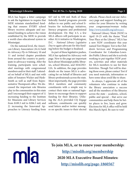MLA has begun a letter campaign to ask the legislature to require that MDE reinstate standardized funding that ensures EVERY school library receives adequate and sustained funding to achieve the vision established by the MDE to provide a world-class educational system in Mississippi.

On the national level, the American Library Association (ALA) held its *Advocacy Fly-in* February 10 and 11 and invited chapter presidents from around the country to participate in advocacy training. After the training, participants were scheduled meetings with congressional members and/or their staff. I attended on behalf of MLA and met with aides of Senators Wicker and Hyde-Smith as well as staff from Representative Thompson's office. We discussed the important role libraries play in the communities in this state and I encouraged their support of 1) increasing funding to the Institute for Museums and Library Services from \$189.3 mil to \$206.3 mil, and 2) increasing the Innovated Approaches to Literacy funding from

\$27 mil to \$30 mil. Both of these federally funded programs provide dollars to our public and school libraries for technology initiatives, literacy programs and professional development. On May 4-5, a few MLA officers will participate in another ALA initiative in Washington, D.C. - *National Library Legislative Day* to again advocate for this funding before the budget is finalized.

As part of these legislative pushes, MLA has updated its Advocacy web page. New to the page are important facts about Mississippi public libraries, school libraries, and MAGNO-LIA. In addition, the page provides details on the issues MLA is advocating for on behalf of libraries and library professionals across the state. Most importantly, the page provides MLA members and community constituents with a simple way to contact their state or national legislators to encourage them to support funding for their libraries. Utilizing the ALA provided *CQ Engage*  software, constituents can quickly send letters and/or twitter messages on specific issues to their elected officials. Please check out our Advocacy page and support funding priorities for your libraries by writing your congressman/woman today <http://www.misslib.org/advocacy>.

National Library Week (NLW) is April 19-25 with the theme "Find Your Place at the Library." MLA has a new NLW coordinator this year named Tori Hopper. Tori is the Children's Services and Programming Coordinator for Columbus-Lowndes Public Library and she is actively working to put together NLW posters, activities and other materials for MLA members to use for their festivities. Though Tori will be sharing those soon, please contact Tori if you need materials, information or have some ideas you'd like to share.

As always, I appreciate all of the volunteers who continue to make the library association a success and all the members of the libraries across the state – academic, school, public and special – that serve our communities and help them be better places to live, learn and grow. Elections for MLA office will be held this March/April. Be sure to vote!



## **To join MLA, or to renew your membership:**

**<http://misslib.org/membership> 2020 MLA Executive Board Minutes: <http://misslib.org/page-1860567>**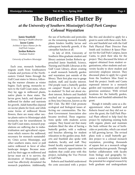# **The Butterflies Flutter By**

## <span id="page-4-0"></span>*at the University of Southern Mississippi's Gulf Park Campus Colossal Waystation*

**Jamie Stanfield**

*Science, Nursing & Health Librarian* **Jason Cantu** *Architect & Space Planner for the Gulf Park Campus* **Jordan Roberts**

*Graduate Student*

*University of Southern Mississippi*

Each year, monarch butterflies migrate south from Southeastern Canada and portions of the Northeastern United States through the Gulf Coast states to Mexico, following the warmer climates as winter begins. Each spring, monarchs return to the Gulf Coast states, where they lay eggs in milkweed plants, native plants to these states. The larvae grow, hatch, and depend on milkweed for shelter and nutrients for growth. Adult butterflies depend on nectar plants for food, and while some forms of milkweed bloom flowers, there are many other nectar plants native to Mississippi adult monarchs use for nourishment. In the Gulf Coast states, monarch populations are suffering due to industrialization and agricultural expansions which remove the milkweed, necessary for monarch sustainability. Cities across Mississippi, and other southern states, mow or pull native milkweed in favor of other landscape designs. Because monarch lay their eggs on milkweed and larvae must eat it to survive, the decimation of Mississippi's milkweed has effectively devastated the monarch population. Additionally, the use of herbicides and pesticides on the remaining monarch friendly plants hinders healthy larvae and subsequent butterfly growth, if the caterpillar hatches at all.

 In July of 2018, University of Southern Miss graduate student and library assistant Jordan Roberts approached Jamie Stanfield, Science, Nursing and Health Librarian at the Gulf Coast Library, about creating a small monarch butterfly garden and waystation just outside of the library. Their first plan was to gauge student, staff, and faculty interest. Did people want a butterfly garden on campus? Would it be of value to students? To find out about student interest, Roberts and Stanfield reached out to organizations such as Beta Iota Omicron, known as the BIO Club. The BIO Club promote ecological and biological issues affecting our communities. The Student Government Association also became involved. These organizations spoke with students across campus. They found out that many students liked the idea of having a butterfly garden, with a walkway and benches allowing for student relaxation in the garden areas. Roberts and Stanfield also spoke with students, faculty, and staff. They found faculty expressed interest in possible research opportunities for students that could arise with this project, including the Vice Provost at Gulf Park.

Roberts and Stanfield understood the costs associated with a project like this and decided to apply for a grant to assist with these costs. Roberts and Stanfield met with the Gulf Park Physical Plant Director Pam Smith and Architect & Space Planner for the Gulf Park Campus, Jason Cantu, to pitch their idea for the project. They discussed the letters of support obtained from student organizations, other students and university faculty to show student and university employee interest. They discussed plans to apply for a grant from the Southern Miss Fund to fund the project. Smith and Cantu expressed interest in a monarch garden and waystation and offered generous assistance. With revised locations for the butterfly garden, Roberts and Stanfield submitted the grant.

Though it initially came as a disappointment when Stanfield and Roberts found out they did not receive the grant, the Gulf Park Physical Plant offered to help fund the project by replanting existing beds with organic plants and maintain the beds without the use of herbicides or pesticides, which can retard or kill growing larvae. The revised plans took a small butterfly garden project to a colossal monarch waystation, providing thousands of square feet as a monarch refuge and reproduction grounds. Through further collaboration with faculty from biology and geography, because a monarch waystation holds the potential for original research by both graduate and undergraduate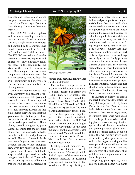students and organizations across campus, Roberts and Stanfield organized the University of Southern Miss Planting Committee (hereafter USMPC).

The USMPC created by-laws and became a standing committee on the campus. Equal representation was a high priority to Roberts and Stanfield, so the committee has equal representation from 3 faculty, 3 students and 3 staff members. The USMPC created social media accounts to maximize exposure and engage not only university folks, but those in the community. The vision of the committee was inclusion. They sought to develop many unique waystation areas across the 52-acre campus, inviting both the USM community and everyone in the surrounding communities, including tourists.

Committee representatives met with university and student organizations to create events giving all involved a sense of ownership and a stake in the success of the waystation. For example, Monarch Madness, held in spring 2019 for the first time, invited everyone to meet at the greenhouse to plant organic flowers, plants, and shrubs across campus in freshly prepared beds. These plants, carefully designed by Jason Cantu, accommodate the life cycle of not only the monarch butterfly but other butterflies and pollinators as well. The first Monarch Madness was a huge success. Nurseries donated organic plants, biologists grew over 100 milkweed seedlings to plant, and physical plant landscape specialists prepared the beds using no chemicals at all. These beds are not only organic and will remain free of herbicides and pesticides, but



*Photograph by Jason Cantu*

contain truly beautiful native plants, shrubs, and flowers.

Further flower and plant bed reorganization followed as Cantu created plans designed to certify over 16,800 square feet of organic beds certified by monarch waystation organizations. Dwarf Holly, Gold Blood Flower Milkweed, and Blackeyed Susan are just a few of the many plants in strategically designed beds with the life cycle and migration path of the monarch butterfly in mind. With this feat, the Gulf Park campus became one of the largest monarch waystations in the state, the largest on the Mississippi Coast, and achieved Monarch Waystation status/certification with Monarch Watch and the North American Butterfly Association.

Creating a small monarch waystation is not difficult. In fact, libraries across Mississippi might find all aspects of their community members interested in designing, creating, and maintaining a dedicated area. Creating planting or landscaping events at the library can be fun, and participants feel they are stakeholders. Nurseries will often donate seeds and sometimes plants in support of such endeavors to help maintain the ecological balance. For school and public libraries, children can plant seeds in cups as part of an activity, or perhaps during a reading program about nature. In academic libraries, biology labs may incorporate planting seeds as part of lab assignments. Once seedlings are ready to plant, family planting days are a fun way to give all ages a sense of pride, and they become stakeholders in their libraries and often become stronger advocates for the library. Monarch Maintenance is a day designed to hand weed and do needed maintenance to the gardens. Families, students, faculty, and just about anyone in the community can easily assist. The ideas for involving library patrons are unlimited.

To illustrate an example of a small monarch friendly garden, notice the Lofty Return plans created by Jason Cantu for the Gulf Park monarch beds. Select an outdoor area that receives at least six to eight hours of sunlight near areas with small trees or large shrubs. When selecting plants, choose a variety of native species that will bloom throughout the growing season (both annual and perennial) plants. Focus on plants that will support every stage of the butterfly's life cycle. Monarchs will lay their eggs on a single milkweed plant that they will eat during the larval stage. Once Monarchs emerge from the pupa stage, they will dine on nectar plants within the butterfly garden.

Regarding plant spacing, place colorful host and nectar-rich plants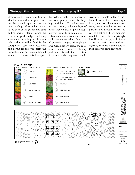close enough to each other to provide the larva with some protection, but far enough apart to prevent overcrowding. Place taller plants at the back of the garden and start adding smaller plants toward the front or at garden edges. Including shrubs may also help, as they can offer shelter as well as food for the caterpillars. Again, avoid pesticides and herbicides that will harm the butterflies and host plants. Should you need to control pests, hand-pick the pests, or make your garden attractive to pest predators like ladybugs and birds. To reduce weeds in your garden, include a layer of mulch that will also help with keeping your butterfly garden moist.

Monarch watch events are especially fascinating when thousands of butterflies migrate through the area. Organizations across the coast create monarch centered library parties, events and other activities. A startup garden requires a sunlit area, a few plants, a few shrubs butterflies can hide in, some eager hands, and a small outdoor space. Many items may be donated or purchased at discount prices. The cost of creating a library monarch waystation can be surprisingly low. However, the payoff in terms of patron participation and recognizing they are stakeholders in their library is genuinely priceless.

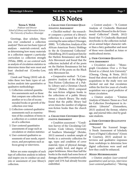#### **Teresa S. Welsh**

<span id="page-7-0"></span> *Professor and Director School of Library and Information Science The University of Southern Mississippi*

Greetings, dear scholars. Have you ever conducted a collection analysis? There are two basic types of analyses - *materials-centered*, such as determining how many materials in a collection support a particular curriculum i.e. collection strength (White, 2008), or *use-centered* such as analysis of circulation statistics to determine items that were most and least checked-out (Crowley-Low, 2002).

Ciszek and Young (2010) sub-divides these two basic types of collection analysis into quantitative or qualitative methodology:

- 1. Collection-centered quantitative assessments such as those that compare one collection to another or to a list of recommended books or growth of the collection over time
- 2. Collection-centered qualitative assessments such as examination of the condition of items in a collection or a content analysis of a collection
- 3. User-centered quantitative assessments of *usage* such as circulation or citation statistics
- 4. User-centered qualitative assessments of user needs, experiences, and perceptions such as focus group or interviews.

Below are some examples of each type of collection analysis to inform and inspire you to conduct an analysis or assessment of your library's collection.

# **SLIS Notes**

## *1. Collection-Centered Quantitative Assessment*

• *Checklist method* - the researcher compares a portion of a library's collection to a curated list of titles covering the same subject (Nisonger, 2008). "A Collection Analysis of the African-American Poetry Holdings in the de Grummond Collection" (Heidelberg, 2013) used poet lists for the Harlem Renaissance and Black Arts Movement and found that the collection included all of the poets on the Harlem Renaissance list but only 48% of the poets on the Black Arts Movement list.

• *Comparative method* - "A Comparative Analysis of the Religious Non-Fiction Collections of a Public Library and a Christian Church Library" (Bolton, 2014) compared the non-fiction religious books in the collections of a public library versus a church library. The study found that the public library had seven times the number of religious non-fiction books than the church library.

### *2. Collection-Centered Qualitative Assessment*

• *Condition assessment* – "Condition Survey of the Circulating Collection: Cook Library, University of Southern Mississippi" (Reinke, 2013) assessed a random sample of books in a university collection for age, types and condition of cover material, types of physical damage, paper acidity level, and degree of paper brittleness. More than half the books in the study had some form of damage; about 80% contained acidic paper and 21% had already become embrittled.

• *Content analysis* – "A Content Analysis of Cinderella Illustrated Storybooks Housed in the de Grummond Collection" (Smith, 2012) found that 71 Cinderella illustrated storybooks in the collection included an animal helper character rather than a fairy godmother and most of those were classified as Asian or multicultural stories.

#### *3. User-Centered Quantitative Assessment*

• *Circulation analysis* - "Monograph Circulation Over a 15-Year Period in a Liberal Arts University" (Cheung, Chung, & Nesta, 2011) found that about one-third of book acquisitions in the study were not checked out and that circulation within the first few years of a book's acquisition was a good predictor of future circulation.

• *Citation analysis* - "Citation Analysis of Masters Theses as a Tool for Collection Development in Academic Libraries" (Gunasekera, 2013) analyzed the format, relative age, and journal titles cited by graduate students.

#### *4. User-Centered Qualitative Assessment*

"Beyond the Scanned Image: A Needs Assessment of Scholarly Users of Digital Collections" (Green & Courtney, 2015) analyzed interviews and qualitative responses from workshops to determine how digital collections were used and how they could be enhanced.

#### *Mixed Methodologies*

• *Citation analysis (user-centered quantitative) and surveys, interviews (user-centered qualitative)* - "Moving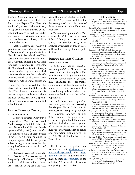Beyond Citation Analysis: How Surveys and Interviews Enhance, Enrich, and Expand Your Research Findings" (deVries, Kelly, & Storm, 2010) used citation analysis of faculty publications as well as faculty surveys and interviews to determine the effectiveness of library collections and services.

• *Citation analysis (user-centered quantitative) and collection analysis (collection-centered quantitative)* – "Serials Use in Post-Graduates' Dissertations of Pharmaceutical Sciences: Collection Building by Citation Analysis" (Nagaraja & Prashanth, 2015) analyzed a university library's resources cited by pharmaceutical science students in order to identify what frequently-cited sources were missing from the library's collection.

You may have noticed that the above articles, save the Bolton article (2014), focused on academic libraries or special collections. There are also articles that focus specifically on the collections of public and school libraries.

## **Public Library Collection Analysis**

• *Collection-centered quantitative comparative* - "An Evidence Based Methodology to Facilitate Public Library Non-fiction Collection Development (Kelly, 2015) used *World-Cat* collection data of eight public libraries' non-fiction holdings to compare against OCLC Conspectus subject categories to determine the strength of coverage of the libraries' collections.

• *Collection-centered quantitative checklist* - "An Assessment of Frequently Challenged LGBTQ Books in Alabama Public Libraries" (Sheffield, 2017) used the ALA

list of the top ten challenged books with LGBTQ content to determine the strength of the collections of those materials in public libraries in Alabama.

• *User-centered, quantitative* - "Accessing the Collection of a Large Public Library: An Analysis of OPAC Use" (Waller, 2010) is an analysis of transaction logs of users of the online catalog of a large public library.

## SCHOOL LIBRARY COLLEC**tion Analysis**

• *Collection-centered, quantitative and qualitative* - "Characters of Color: A Content Analysis of Picture Books in a Virgin Islands Elementary School Library" (Brissett, 2012) examined the geographic setting as well as the ethnicity of the main characters of storybooks in a school library collection then compared it with ethnicity of the student population.

• *Collection-centered quantitative and qualitative* – "Assessing the Graphic Novel Collections in Northeast Mississippi High Schools: A Collection Analysis" (Minor, 2016) examined the graphic novels in six high school library collections, including genre, gender of the main characters, as well as number (and percentage) of fiction and non-fiction graphic novels on YALSA's "Great Graphic Novels for Teens" lists.

Feedback and suggestions are welcome – send to [slis@usm.edu](mailto:slis@usm.edu) or [teresa.welsh@usm.edu](mailto:teresa.welsh@usm.edu) Visit [www.](http://www.usm.edu/slis) [usm.edu/slis](http://www.usm.edu/slis) for additional information, email [slis@usm.edu](mailto:slis@usm.edu) or call 601.266.4228 to speak with one of our great graduate assistants.

#### **Bibliography**

- Bolton, T.C. (2014). A comparative analysis of the religious non-fiction collections of a public library and a Christian church library. *SLIS Connecting*, 3(1): 47-68.
- Burke, M. & Vredevoogd, G. (2019). Let's get technical--holistic collection assessment. *Against the Grain*, 31(5), 94–95.
- Cheung, S., Chung, T., & Nesta, F. (2011). Monograph circulation over a 15-year period in a liberal arts university. *Library Management*, 32(6/7), 419–434.
- Ciszek, M., & Young, C. L. (2010). Diversity collection assessment in large academic libraries. *Collection Building*, 29(4), 154–161.
- Crawley-Low, J. V. (2002). Collection analysis techniques used to evaluate a graduate-level toxicology collection. *Journal of the Medical Library Association*, 90(3), 310–316.
- deVries, S., Kelly, R., & Storm, P. M. (2010). Moving beyond citation analysis: How surveys and interviews enhance, enrich, and expand your research findings. *College & Research Libraries*, 71(5), 456–466.
- Green, H. E., & Courtney, A. (2015). Beyond the scanned image: A needs assessment of scholarly users of digital collections. *College & Research Libraries*, 76(5), 690–707.
- Gunasekera, C. (2013). Citation analysis of masters' theses as a tool for collection cevelopment in academic libraries. *Journal of University Librarians Association of Sri Lanka*, 17(2), 96–111.
- Heidelberg, S. J. (2013). A collection analysis of the African-American poetry holdings in the de Grummond Collection. *SLIS Connecting*, 2(1), 43-56.
- Kelly, M. (2015). An evidence-based methodology to facilitate public library non-fiction collection development. *Evidence Based Library & Information Practice*, 10(4), 40–61.
- Minor, N. (2016). Assessing the graphic novel collections in Northeast Mississippi high schools: A collection analysis. *SLIS Connecting*, 5(1): 77-84.
- Nagaraja, A., & Prashanth, A. B. (2015). Serials use in post graduates' dissertations of pharmaceutical sciences: Collection building by citation analysis. *Collection Building*, 34(3), 94–101.
- Nisonger, T. E. (2008). Use of the checklist method for content evaluation of full-text databases: An investigation of two databases based on citations from two journals. *Library Resources & Technical Services*, 52(1), 4–17.
- Reinke, S. D. (2012). Condition survey of the circulating collection: Cook Library, University of Southern Mississippi. *SLIS Connecting*, 1(2): 14-36.
- Sheffield, S. (2017). An assessment of frequently challenged LGBTQ books in Alabama public libraries. *The Southeastern Librarian*, 65(2):1-14.
- Smith, K. (2012). A content analysis of Cinderella illustrated storybooks housed in the de Grummond Collection. *SLIS Connecting*, 1(1): 22-45.
- Waller V. Accessing the collection of a large public library: An analysis of OPAC use. LIBRES: *Library & Information Science Research Electronic Journal*,  $20(1):1-27.$
- White, H. (2008). Better than brief tests: Coverage power tests of collection strength, *College & Research Libraries*, 69(1), 155–174.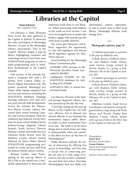# **Libraries at the Capitol**

#### <span id="page-9-0"></span>**Tonja Johnson** *MLA Legislative Chair*

On February 5, 2020, librarians from across the state gathered at the Capitol in Jackson to showcase the value and impact of Mississippi libraries. As part of the Mississippi Library Association's "Day at the Capitol" libraries staged a pop-up library highlighting computer and technology services, story time, teen STEM/STEAM programs as well as adult programming such as workforce development in the Capitol rotunda.

One section of the rotunda featured a "computer lab" with a 3D printer from Canton Public Library's Digital Innovation Lab. The printer produced Mississippi key chains while laptops displayed free services and resources including the MAGNOLIA databases, language learning softwares, SAT and ACT test prep and job skill development. Across the rotunda the Waynesboro-Wayne County Library discussed their award winning Laundry and Literacy program while the children's area featured a lively story time for local school children led by Jackson-George Regional Library System's Youth Services Director Bethany Carlisle and Youth Services Librarian Becky Bowen from the Madison County Library System followed by Harry Potter themed STEM/STEAM programming presented by youth services staff from the Jackson Hinds Library System.

Bethany Carlisle said, "Participating in the pop-up library at MLA Day at the capitol was a wonderful opportunity to showcase the

important work done in our libraries. While interacting with children in the youth services section, I was very encouraged to see so many state leaders engage with and discuss the work done in public libraries."

The event gave librarians and library supporters the opportunity to visit with legislators and discuss MLA's legislative agenda for 2021. Those asks are:

Level Funding for the Mississippi Library Commission plus:

•\$330,000 (10%) increase in the Personnel Incentive Grant (currently \$3,300,000)

•Additional \$350,000 for the MAGNOLIA databases for total fu ding of \$1,350,000

•\$395,000 to MLC to restore loss of Federal funds

Lori Barnes, Director of the Jackson-George Regional Library System summed up the day this way:

"I feel that setting up the pop-up library in the Capitol was not only very effective, but it allowed our elected officials to see firsthand the tremendous impact public libraries make on their constituents' lives every day. The truth is we do those things and so much more; our value is immeasurable when you consider the affect we have on the lives of Mississippians!"

Public libraries embody the values of democracy by offering free access to knowledge, and they play a crucial role in connecting people not only to a wide range of resources, but also to their communities and their best selves. Everyday, Mississippians find new skills, new information, culture, opportunity and so much more at their local library. Mississippi libraries truly change lives.

#### **Photograph captions, page 10**

**—◆—**

*1) Children particapte in activities in the pop-up childrens area.*

*2) Becky Bowen, Children's Librarian with Madison Public Library, reads Curious George assisted by Beverly Tarpley to a group of kids, February 5th at the Capital in Jackson, MS.*

*3) Children particapte in activities in the pop-up childrens area.*

*4) Becky Bowen, Children's Librarian with Madison Public Library, reads Curious George assisted by Beverly Tarpley to a group of kids, February 5th at the Capital in Jackson, MS.* 

*5)Bethany Carlisle, Youth Service Coordinator with Jackson George Regional Library sings along with Becky Bowen and Beverly Tarpley from Madison County Library System with a group of kids at the MLA Day at the Capital on February 5th.*

*Photographers:* **Braley Reed** *PIO/Asst. System Admin* **Evanne Flanders** *Special Needs Programming and Outreach Specialist*

*Madison County Library System*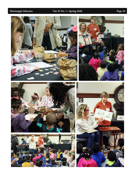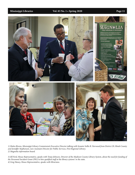

*1) Hulen Bivens, Mississippi Library Commission's Executive Director talking with Senator Sollie B. Norwood from District 29, Hinds County and Jenniffer Stephenson, new Assistant Director for Public Services, First Regional Library. 2) Magnolia information board.*

*3) Jill Ford, House Representative, speaks with Tonja Johnson, Director of the Madison County Library System, about the need for funding of the Personnel Incident Grant (PIG) to hire qualified staff at the library systems' in the state. 4) Greg Haney, House Representative, speaks with librarians.*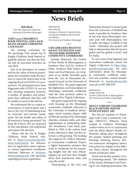# **News Briefs**

<span id="page-12-0"></span>**Hali Black** *First Year Experience Librarian University of Southern Mississippi*

#### **USM'S 2020 CHILDREN'S BOOK FESTIVAL, EZRA JACK KEATS AWARDS CEREMONY CANCELLED**

The steering committee for the upcoming 53rd annual Fay B. Kaigler Children's Book Festival regretfully informs you that the festival and all associated activities are cancelled.

Out of an abundance of caution and for the safety of festival participants, the committee made the decision to cancel the festival due to the ongoing threat of COVID-19 (coronavirus). No participants have been diagnosed with COVID-19, nor are they showing symptoms; however, a number of speakers and participants have indicated that they will be unable to travel to the festival.

We understand this is a major inconvenience to festival-goers and a loss to the City of Hattiesburg from an economic and tourism standpoint, but the health and safety of all involved is being prioritized. We hope all of those who are impacted by this cancellation will understand and respect this decision.

 Please visit the Fay B. Kaigler Children's Book Festival website at [https://www.usm.edu/chil](https://www.usm.edu/childrens-book-festival)[drens-book-festival](https://www.usm.edu/childrens-book-festival) for information on registration return options, or contact registration coordinator Adrienne Patterson at [Adrienne.](mailto:Adrienne.Patterson@usm.edu) [Patterson@usm.edu](mailto:Adrienne.Patterson@usm.edu) with questions regarding previous registration.

*Submitted by Karen Rowell Assistant to Director & Special Events Coordinator/Children's Book Festival Coordinator The University of Southern Mississippi*

#### **USM LIBRARIES RECEIVES GRANT TO DIGITIZE AND TRANSCRIBE MISSISSIPPI COMMUNITY COOKBOOKS**

**—◆—**

Jennifer Brannock, the Curator of Rare Books & Mississippiana at Southern Miss, and Dr. Andrew P. Haley, Southern Miss history professor and food historian, are recipients of an £8,000 (\$10,400) grant from the Arts & Humanities Research Council via the University of Sheffield (UK). The grant supported the digitization and transcription of Mississippi community cookbooks with the final products added to Southern Miss' Digital Collections.

This grant supported the ongoing work focusing on the Mississippi community cookbook collection at the University of Southern Mississippi, which includes almost 1,000 cookbooks produced by Mississippi churches, woman's clubs, and other organizations as fundraising tools. *The Brookhaven Cook Book*, published in 1904, is the earliest book in the collection to date, but the collection is still growing. The funding also supports Dr. Haley's Mississippi Community Cookbook Project, a digital humanities initiative that looks at cookbooks for the surprising insights into the ways Mississippians ate and how they thought about their hometowns, state, and even the world.

"Participating in the Arts and

Humanities Research Council grant from the University of Sheffield has made it possible for Southern Miss to not only share Mississippi's culinary past with Mississippians, but to make this legacy available to the world. Ultimately, this project will help to demonstrate that the local is global and the global is local," said Dr. Haley.

To view some of the digitized and transcribed cookbooks, search the Digital Collections at [https://digi](https://digitalcollections.usm.edu/)[talcollections.usm.edu/](https://digitalcollections.usm.edu/). For more information about the Mississippi community cookbook collection and activities, contact Jennifer Brannock at [Jennifer.Brannock@](mailto:Jennifer.Brannock@usm.edu) [usm.edu](mailto:Jennifer.Brannock@usm.edu) or 601.266.4347.

*Submitted by Jennifer Brannock Curator of Rare Books & Mississippiana The University of Southern Mississippi*

#### **MGCCC LIBRARY CELEBRATES BLACK HISTORY MONTH WITH STUDENT ART**

**—◆—**

The fine-art students of Mississippi Gulf Coast Community College (MGCCC) Jefferson Davis campus in Gulfport, Mississippi created works of art in conjunction with the Black History Month celebrations taking place throughout the campus. Student paintings and drawings featuring famous African-Americans throughout history were placed on display in the Jefferson Davis Library throughout the month of February 2020.

Visual Arts faculty member, Cecily Cummings stated, "The students of the classes, Painting II and Drawing II, are studying portraiture this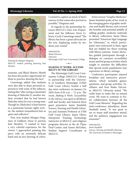

*Painting by Morgan Dingman MGCCC student painting featuring Jimi Hendrix*

semester, and Black History Month has been the perfect opportunity for them to practice drawing the face".

Cummings added that students were also able to share personal experiences with some of the subjects, stating that "after seeing a classmate's drawing of Malcolm X, another student revealed that he had known Malcolm when he was a young man. Though he [Malcolm] is best known as a passionate human rights activist, the student remembered him as quiet and reflective."

Fine Arts student Morgan Dingman of Gulfport chose to portray Jimi Hendrix. "I wanted to have a very colorful experience for the viewer. I approached painting this piece with an extremely delicate hand and an airy layering of colors.

I wanted to capture as much of Jimi's essence in this watercolor portrait as possible," Dingman said.

In regards to the partnership between MGCCC's Fine Arts Department and the Jefferson Davis Library, Cecily Cummings stated "The library has been a great advocate for the arts, displaying works by students year-round."

*Submitted by Shake DeLozier Librarian Mississippi Gulf Coast Community College*

**—◆—**

#### **MAKING IT WORK: ACCESSI-BILITY IN THE LIBRARY**

The Mississippi Gulf Coast Community College (MGCCC) Library, in partnership with the University of Southern Mississippi (USM) Gulf Coast Library hosted a half day mini conference on January 24, 2020 from 8:30 a.m. – 12 p.m. The event, *Making it Work: Accessibility in the Library*, was open to all library staff and faculty and featured three guest presenters: Jamie Stanfield, Science, Nursing and Health Librarian and Assistant Professor at USM Gulf Coast Library; Jamie Olson, Interpreter Training Technology instructor at MGCCC and religious programs director at the de l'Epee Deaf Center; and Aimee McGehee, Student Support Coordinator at MGCCC.

In her session "Graphic Medicine," Jamie Stanfield spoke of her work in the emerging genre of graphic medicine and health literacy and covered the benefits and potential pitfalls of adding graphic medicine materials to library collections. Jamie Olson presented "American Sign Language for Librarians," in which participants were instructed in basic signs that are helpful for those working with library patrons. Aimee McGehee guided participants through a dialogue on common accessibility issues and led group activities which sought to simulate the difficulties that special needs populations may experience in library settings.

Conference participants enjoyed breakfast and interactive presentations, which included games, questions, and group activities. Facilitator and host Shake DeLozier, MGCCC Librarian stated, "We really hope to make this an annual event. We want to continue to foster collaboration between all the Gulf Coast libraries." Regarding the mini-conference attendance, Jamie Stanfield noted, "It was great to see so many staff members attend, and the audience engagement was awesome!"

#### *Submitted by Jamie Stanfield Science, Nursing and Health Librarian The University of Southern Mississippi*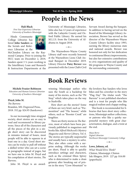# **People in the News**

<span id="page-14-0"></span>**Hali Black** *First Year Experience Librarian University of Southern Mississippi*

Hinds Community College Libraries has hired **John Sanders** as the Serials and Reference Librarian at the



McClendon Library on the Raymond Campus. Prior to joining the HCC team on December 2, 2019, Sanders spent 3 ½ years working in the Interlibrary Loan and Research & Instruction Departments at the

University of Mississippi Libraries. John also has 12 years of experience with the Lafayette County and Oxford Public Library. He earned his M.L.I.S. from the University of Alabama in August 2018.

**—◆—**

The Waynesboro-Wayne County Library staff were recently honored at the Waynesboro Lions Club Annual Banquet in December 2019. Library Director **Patsy Brewer** was presented with the Lions Club's Civil

Servant Award during the banquet. In addition to having served on the Board of the Mississippi Library Association, Brewer has served as the director of the Waynesboro-Wayne County Library facility since 1993, earning the library numerous state and national awards. Brewer was honored not only for her dedication to continuous library improvements, but also her extensive contributions to civic organizations and quality of life programs in Wayne County and the surrounding community.

## **Book Reviews**

**Michele Frasier-Robinson** *Education and Human Sciences Librarian University of Southern Mississippi*

#### **Floyd, John M.**

*The Barrens* Brandon, MS: Dogwood Press, 2018. 352 pp. \$24.95 (hardcover)

In our increasingly time-strapped society, short stories are so easy to read and recommend to library patrons. Since all of the characters and all the pieces of the plot in a single short story can be discovered in minutes instead of hours, most people will be able to squeeze in at least one in a day. Good short stories can be tricky to pull off without a skilled writer who can set a scene in paragraphs instead of pages, but we have one in John M. Floyd and his compilation of short stories, *The Barrens*.

John M. Floyd is an award-

winning Mississippi author who uses the South as a backdrop for many of his stories, such as the "Pit Stop," which takes place on the way to Starkville.

How short are the stories? Some of them are very brief, such as "Premonition" and "Flu Season," while others, such as "Rooster Creek" are lengthier.

There are thirty stories in *The Barrens*, most of which have been previously published in magazines and books like *Alfred Hitchcock's Mystery Magazine* and *Horror Library, Vol. 6*. The stories are typically suspenseful and usually have a mystery to solve. They also often come with a surprise ending. Although the works are short, Floyd is able to quickly introduce settings and characters, such as the criminal Elton Spivey who is determined to make a clean getaway after breaking out of prison in the story "Crow Mountain" to the lovelorn Ray Sanders who loves bikes and his coworker in the story "Flag Day." The titular work "The Barrens" is not published elsewhere and is a treat for people who like magical realism and a happy ending.

This book is recommended for libraries that have short story collections, Mississippi author collections, or patrons who like a quirky suspenseful mystery with great characterization, dialogue, and a twist at the end.

*Maya Berry Digital Librarian Northwest Mississippi Community College*

**—◆—**

#### **Lowe, Johnny, ed.**

*What Would Elvis Think?*  Clinton, Mississippi: Clinton Ink-Slingers, 2019. 227 pp. \$16.00 (paperback)